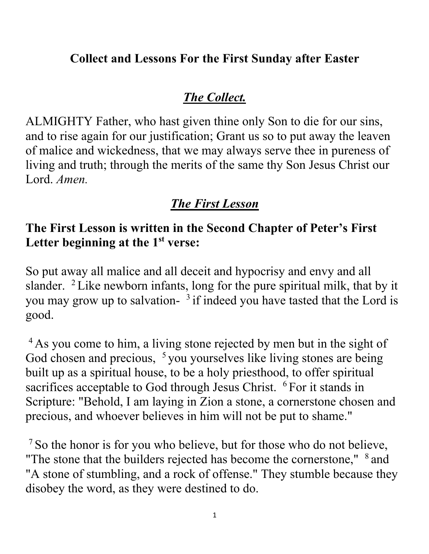#### **Collect and Lessons For the First Sunday after Easter**

#### *The Collect.*

ALMIGHTY Father, who hast given thine only Son to die for our sins, and to rise again for our justification; Grant us so to put away the leaven of malice and wickedness, that we may always serve thee in pureness of living and truth; through the merits of the same thy Son Jesus Christ our Lord. *Amen.*

# *The First Lesson*

#### **The First Lesson is written in the Second Chapter of Peter's First**  Letter beginning at the 1<sup>st</sup> verse:

So put away all malice and all deceit and hypocrisy and envy and all slander.  $2$  Like newborn infants, long for the pure spiritual milk, that by it you may grow up to salvation- $3$  if indeed you have tasted that the Lord is good.

<sup>4</sup> As you come to him, a living stone rejected by men but in the sight of God chosen and precious, <sup>5</sup> you yourselves like living stones are being built up as a spiritual house, to be a holy priesthood, to offer spiritual sacrifices acceptable to God through Jesus Christ. <sup>6</sup> For it stands in Scripture: "Behold, I am laying in Zion a stone, a cornerstone chosen and precious, and whoever believes in him will not be put to shame."

<sup>7</sup> So the honor is for you who believe, but for those who do not believe, "The stone that the builders rejected has become the cornerstone,"  $8$  and "A stone of stumbling, and a rock of offense." They stumble because they disobey the word, as they were destined to do.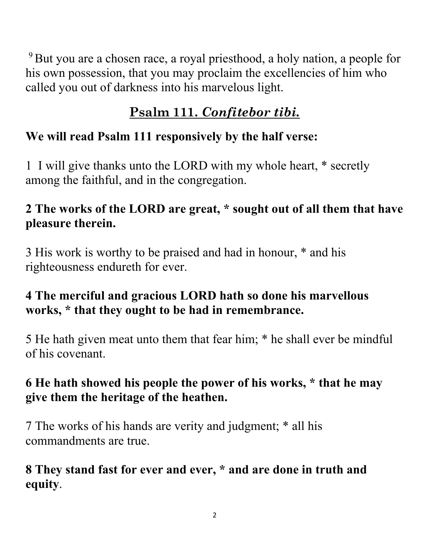<sup>9</sup> But you are a chosen race, a royal priesthood, a holy nation, a people for his own possession, that you may proclaim the excellencies of him who called you out of darkness into his marvelous light.

# **Psalm 111.** *Confitebor tibi.*

# **We will read Psalm 111 responsively by the half verse:**

1 I will give thanks unto the LORD with my whole heart, \* secretly among the faithful, and in the congregation.

# **2 The works of the LORD are great, \* sought out of all them that have pleasure therein.**

3 His work is worthy to be praised and had in honour, \* and his righteousness endureth for ever.

## **4 The merciful and gracious LORD hath so done his marvellous works, \* that they ought to be had in remembrance.**

5 He hath given meat unto them that fear him; \* he shall ever be mindful of his covenant.

# **6 He hath showed his people the power of his works, \* that he may give them the heritage of the heathen.**

7 The works of his hands are verity and judgment; \* all his commandments are true.

## **8 They stand fast for ever and ever, \* and are done in truth and equity**.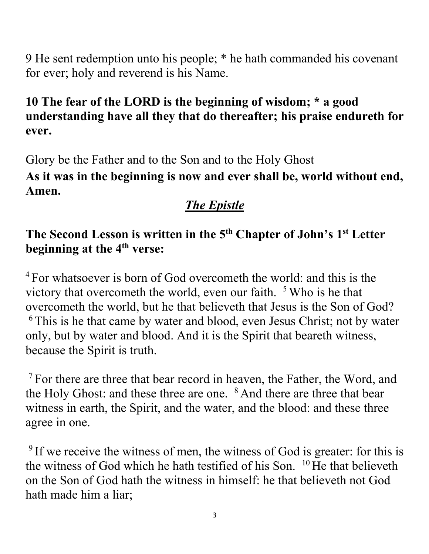9 He sent redemption unto his people; \* he hath commanded his covenant for ever; holy and reverend is his Name.

## **10 The fear of the LORD is the beginning of wisdom; \* a good understanding have all they that do thereafter; his praise endureth for ever.**

Glory be the Father and to the Son and to the Holy Ghost **As it was in the beginning is now and ever shall be, world without end, Amen.**

# *The Epistle*

## **The Second Lesson is written in the 5th Chapter of John's 1st Letter beginning at the 4th verse:**

 $4$  For whatsoever is born of God overcometh the world: and this is the victory that overcometh the world, even our faith.  $5$  Who is he that overcometh the world, but he that believeth that Jesus is the Son of God? <sup>6</sup> This is he that came by water and blood, even Jesus Christ; not by water only, but by water and blood. And it is the Spirit that beareth witness, because the Spirit is truth.

<sup>7</sup> For there are three that bear record in heaven, the Father, the Word, and the Holy Ghost: and these three are one. <sup>8</sup> And there are three that bear witness in earth, the Spirit, and the water, and the blood: and these three agree in one.

<sup>9</sup> If we receive the witness of men, the witness of God is greater: for this is the witness of God which he hath testified of his Son.  $10$  He that believeth on the Son of God hath the witness in himself: he that believeth not God hath made him a liar;